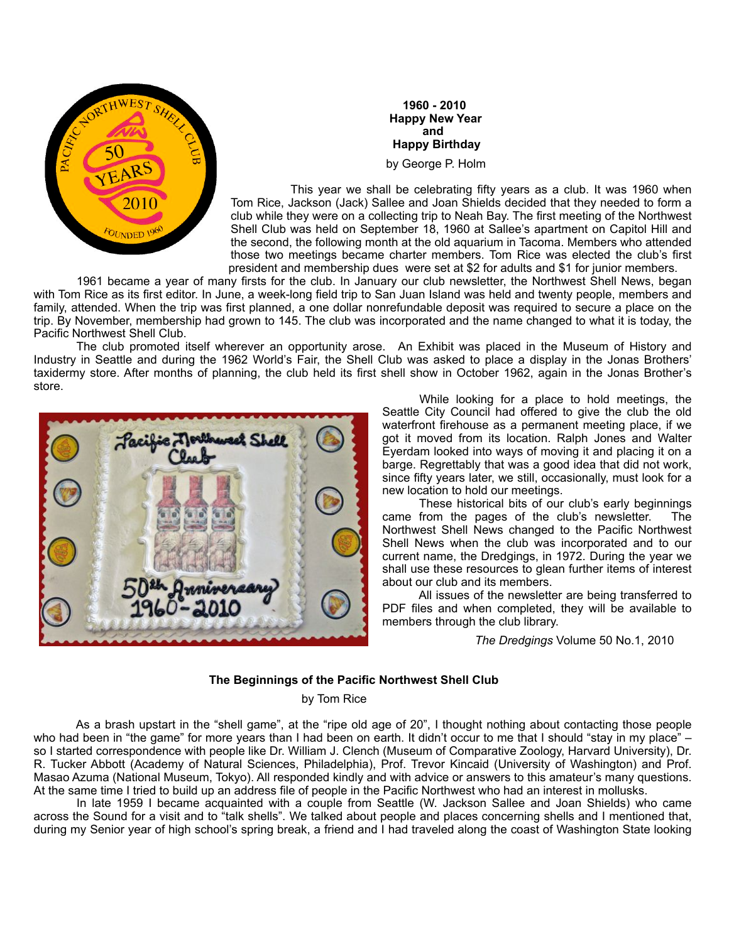

 **1960 - 2010 Happy New Year and and and and and and and Happy Birthday** by George P. Holm

This year we shall be celebrating fifty years as a club. It was 1960 when Tom Rice, Jackson (Jack) Sallee and Joan Shields decided that they needed to form a club while they were on a collecting trip to Neah Bay. The first meeting of the Northwest Shell Club was held on September 18, 1960 at Sallee's apartment on Capitol Hill and the second, the following month at the old aquarium in Tacoma. Members who attended those two meetings became charter members. Tom Rice was elected the club's first president and membership dues were set at \$2 for adults and \$1 for junior members.

 1961 became a year of many firsts for the club. In January our club newsletter, the Northwest Shell News, began with Tom Rice as its first editor. In June, a week-long field trip to San Juan Island was held and twenty people, members and family, attended. When the trip was first planned, a one dollar nonrefundable deposit was required to secure a place on the trip. By November, membership had grown to 145. The club was incorporated and the name changed to what it is today, the Pacific Northwest Shell Club.

 The club promoted itself wherever an opportunity arose. An Exhibit was placed in the Museum of History and Industry in Seattle and during the 1962 World's Fair, the Shell Club was asked to place a display in the Jonas Brothers' taxidermy store. After months of planning, the club held its first shell show in October 1962, again in the Jonas Brother's store.



 While looking for a place to hold meetings, the Seattle City Council had offered to give the club the old waterfront firehouse as a permanent meeting place, if we got it moved from its location. Ralph Jones and Walter Eyerdam looked into ways of moving it and placing it on a barge. Regrettably that was a good idea that did not work, since fifty years later, we still, occasionally, must look for a new location to hold our meetings.

 These historical bits of our club's early beginnings came from the pages of the club's newsletter. The Northwest Shell News changed to the Pacific Northwest Shell News when the club was incorporated and to our current name, the Dredgings, in 1972. During the year we shall use these resources to glean further items of interest about our club and its members.

 All issues of the newsletter are being transferred to PDF files and when completed, they will be available to members through the club library.

*The Dredgings* Volume 50 No.1, 2010

# **The Beginnings of the Pacific Northwest Shell Club**

#### by Tom Rice

 As a brash upstart in the "shell game", at the "ripe old age of 20", I thought nothing about contacting those people who had been in "the game" for more years than I had been on earth. It didn't occur to me that I should "stay in my place" – so I started correspondence with people like Dr. William J. Clench (Museum of Comparative Zoology, Harvard University), Dr. R. Tucker Abbott (Academy of Natural Sciences, Philadelphia), Prof. Trevor Kincaid (University of Washington) and Prof. Masao Azuma (National Museum, Tokyo). All responded kindly and with advice or answers to this amateur's many questions. At the same time I tried to build up an address file of people in the Pacific Northwest who had an interest in mollusks.

 In late 1959 I became acquainted with a couple from Seattle (W. Jackson Sallee and Joan Shields) who came across the Sound for a visit and to "talk shells". We talked about people and places concerning shells and I mentioned that, during my Senior year of high school's spring break, a friend and I had traveled along the coast of Washington State looking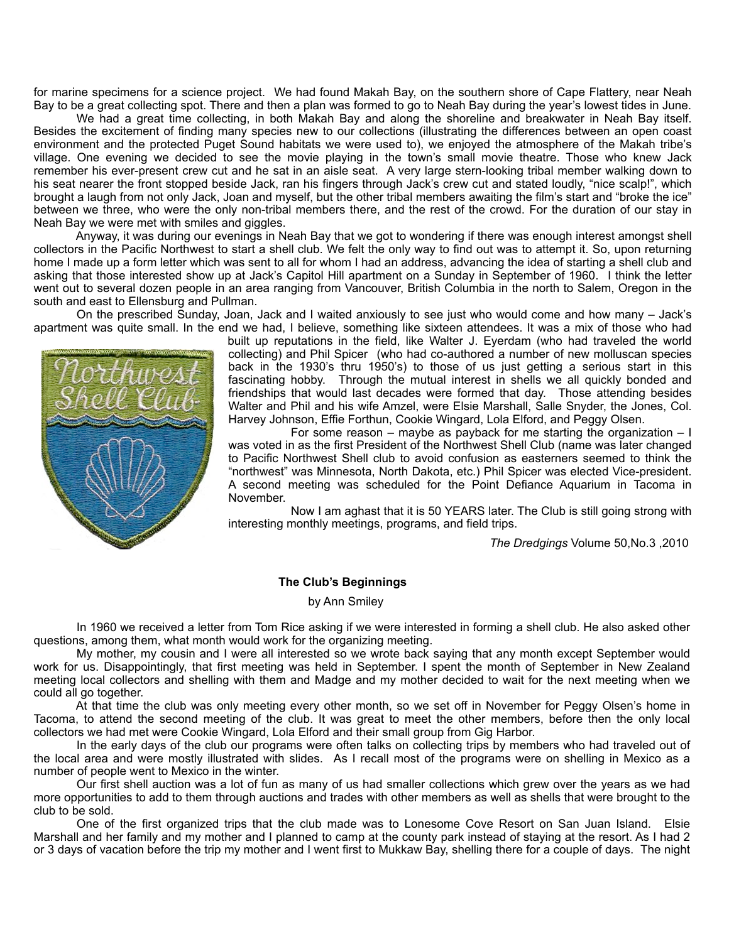for marine specimens for a science project. We had found Makah Bay, on the southern shore of Cape Flattery, near Neah Bay to be a great collecting spot. There and then a plan was formed to go to Neah Bay during the year's lowest tides in June.

 We had a great time collecting, in both Makah Bay and along the shoreline and breakwater in Neah Bay itself. Besides the excitement of finding many species new to our collections (illustrating the differences between an open coast environment and the protected Puget Sound habitats we were used to), we enjoyed the atmosphere of the Makah tribe's village. One evening we decided to see the movie playing in the town's small movie theatre. Those who knew Jack remember his ever-present crew cut and he sat in an aisle seat. A very large stern-looking tribal member walking down to his seat nearer the front stopped beside Jack, ran his fingers through Jack's crew cut and stated loudly, "nice scalp!", which brought a laugh from not only Jack, Joan and myself, but the other tribal members awaiting the film's start and "broke the ice" between we three, who were the only non-tribal members there, and the rest of the crowd. For the duration of our stay in Neah Bay we were met with smiles and giggles.

 Anyway, it was during our evenings in Neah Bay that we got to wondering if there was enough interest amongst shell collectors in the Pacific Northwest to start a shell club. We felt the only way to find out was to attempt it. So, upon returning home I made up a form letter which was sent to all for whom I had an address, advancing the idea of starting a shell club and asking that those interested show up at Jack's Capitol Hill apartment on a Sunday in September of 1960. I think the letter went out to several dozen people in an area ranging from Vancouver, British Columbia in the north to Salem, Oregon in the south and east to Ellensburg and Pullman.

 On the prescribed Sunday, Joan, Jack and I waited anxiously to see just who would come and how many – Jack's apartment was quite small. In the end we had, I believe, something like sixteen attendees. It was a mix of those who had



built up reputations in the field, like Walter J. Eyerdam (who had traveled the world collecting) and Phil Spicer (who had co-authored a number of new molluscan species back in the 1930's thru 1950's) to those of us just getting a serious start in this fascinating hobby. Through the mutual interest in shells we all quickly bonded and friendships that would last decades were formed that day. Those attending besides Walter and Phil and his wife Amzel, were Elsie Marshall, Salle Snyder, the Jones, Col. Harvey Johnson, Effie Forthun, Cookie Wingard, Lola Elford, and Peggy Olsen.

For some reason – maybe as payback for me starting the organization –  $\mathsf I$ was voted in as the first President of the Northwest Shell Club (name was later changed to Pacific Northwest Shell club to avoid confusion as easterners seemed to think the "northwest" was Minnesota, North Dakota, etc.) Phil Spicer was elected Vice-president. A second meeting was scheduled for the Point Defiance Aquarium in Tacoma in November.

 Now I am aghast that it is 50 YEARS later. The Club is still going strong with interesting monthly meetings, programs, and field trips.

*The Dredgings* Volume 50,No.3 ,2010

#### **The Club's Beginnings**

#### by Ann Smiley

 In 1960 we received a letter from Tom Rice asking if we were interested in forming a shell club. He also asked other questions, among them, what month would work for the organizing meeting.

 My mother, my cousin and I were all interested so we wrote back saying that any month except September would work for us. Disappointingly, that first meeting was held in September. I spent the month of September in New Zealand meeting local collectors and shelling with them and Madge and my mother decided to wait for the next meeting when we could all go together.

 At that time the club was only meeting every other month, so we set off in November for Peggy Olsen's home in Tacoma, to attend the second meeting of the club. It was great to meet the other members, before then the only local collectors we had met were Cookie Wingard, Lola Elford and their small group from Gig Harbor.

 In the early days of the club our programs were often talks on collecting trips by members who had traveled out of the local area and were mostly illustrated with slides. As I recall most of the programs were on shelling in Mexico as a number of people went to Mexico in the winter.

 Our first shell auction was a lot of fun as many of us had smaller collections which grew over the years as we had more opportunities to add to them through auctions and trades with other members as well as shells that were brought to the club to be sold.

 One of the first organized trips that the club made was to Lonesome Cove Resort on San Juan Island. Elsie Marshall and her family and my mother and I planned to camp at the county park instead of staying at the resort. As I had 2 or 3 days of vacation before the trip my mother and I went first to Mukkaw Bay, shelling there for a couple of days. The night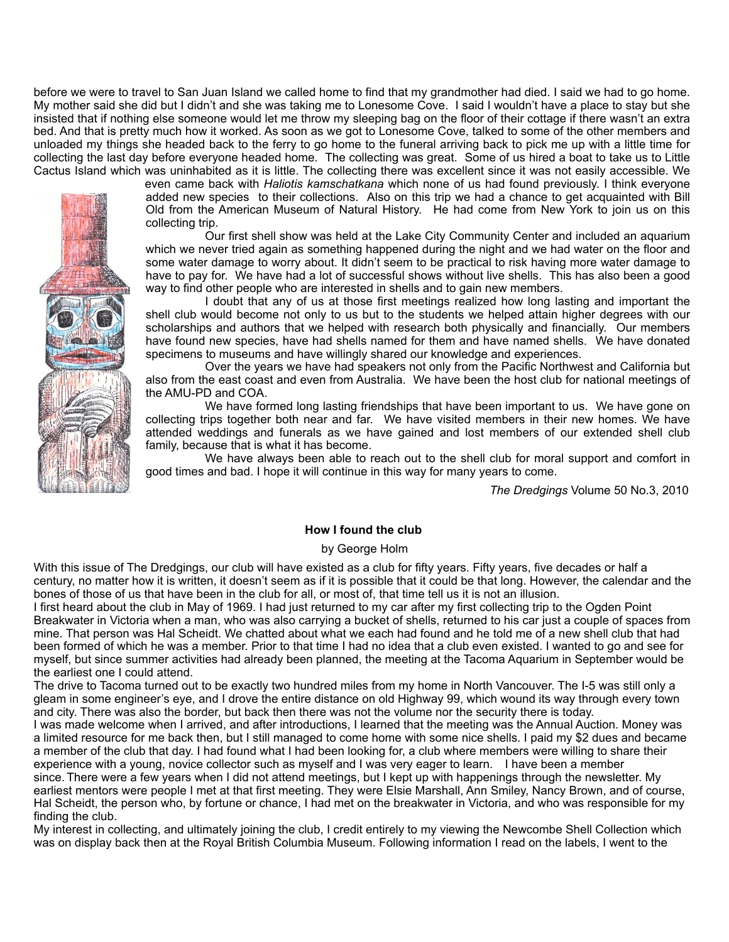before we were to travel to San Juan Island we called home to find that my grandmother had died. I said we had to go home. My mother said she did but I didn't and she was taking me to Lonesome Cove. I said I wouldn't have a place to stay but she insisted that if nothing else someone would let me throw my sleeping bag on the floor of their cottage if there wasn't an extra bed. And that is pretty much how it worked. As soon as we got to Lonesome Cove, talked to some of the other members and unloaded my things she headed back to the ferry to go home to the funeral arriving back to pick me up with a little time for collecting the last day before everyone headed home. The collecting was great. Some of us hired a boat to take us to Little Cactus Island which was uninhabited as it is little. The collecting there was excellent since it was not easily accessible. We



even came back with *Haliotis kamschatkana* which none of us had found previously. I think everyone added new species to their collections. Also on this trip we had a chance to get acquainted with Bill Old from the American Museum of Natural History. He had come from New York to join us on this collecting trip.

 Our first shell show was held at the Lake City Community Center and included an aquarium which we never tried again as something happened during the night and we had water on the floor and some water damage to worry about. It didn't seem to be practical to risk having more water damage to have to pay for. We have had a lot of successful shows without live shells. This has also been a good way to find other people who are interested in shells and to gain new members.

 I doubt that any of us at those first meetings realized how long lasting and important the shell club would become not only to us but to the students we helped attain higher degrees with our scholarships and authors that we helped with research both physically and financially. Our members have found new species, have had shells named for them and have named shells. We have donated specimens to museums and have willingly shared our knowledge and experiences.

 Over the years we have had speakers not only from the Pacific Northwest and California but also from the east coast and even from Australia. We have been the host club for national meetings of the AMU-PD and COA.

 We have formed long lasting friendships that have been important to us. We have gone on collecting trips together both near and far. We have visited members in their new homes. We have attended weddings and funerals as we have gained and lost members of our extended shell club family, because that is what it has become.

 We have always been able to reach out to the shell club for moral support and comfort in good times and bad. I hope it will continue in this way for many years to come.

*The Dredgings* Volume 50 No.3, 2010

## **How I found the club**

### by George Holm

With this issue of The Dredgings, our club will have existed as a club for fifty years. Fifty years, five decades or half a century, no matter how it is written, it doesn't seem as if it is possible that it could be that long. However, the calendar and the bones of those of us that have been in the club for all, or most of, that time tell us it is not an illusion.

I first heard about the club in May of 1969. I had just returned to my car after my first collecting trip to the Ogden Point Breakwater in Victoria when a man, who was also carrying a bucket of shells, returned to his car just a couple of spaces from mine. That person was Hal Scheidt. We chatted about what we each had found and he told me of a new shell club that had been formed of which he was a member. Prior to that time I had no idea that a club even existed. I wanted to go and see for myself, but since summer activities had already been planned, the meeting at the Tacoma Aquarium in September would be the earliest one I could attend.

The drive to Tacoma turned out to be exactly two hundred miles from my home in North Vancouver. The I-5 was still only a gleam in some engineer's eye, and I drove the entire distance on old Highway 99, which wound its way through every town and city. There was also the border, but back then there was not the volume nor the security there is today.

I was made welcome when I arrived, and after introductions, I learned that the meeting was the Annual Auction. Money was a limited resource for me back then, but I still managed to come home with some nice shells. I paid my \$2 dues and became a member of the club that day. I had found what I had been looking for, a club where members were willing to share their experience with a young, novice collector such as myself and I was very eager to learn. I have been a member

since. There were a few years when I did not attend meetings, but I kept up with happenings through the newsletter. My earliest mentors were people I met at that first meeting. They were Elsie Marshall, Ann Smiley, Nancy Brown, and of course, Hal Scheidt, the person who, by fortune or chance, I had met on the breakwater in Victoria, and who was responsible for my finding the club.

My interest in collecting, and ultimately joining the club, I credit entirely to my viewing the Newcombe Shell Collection which was on display back then at the Royal British Columbia Museum. Following information I read on the labels, I went to the